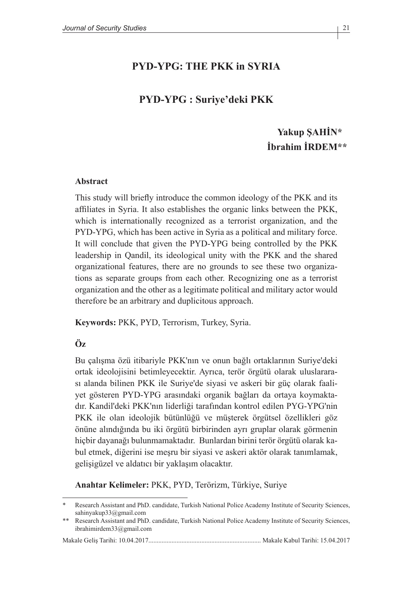### **PYD-YPG: THE PKK in SYRIA**

### **PYD-YPG : Suriye'deki PKK**

# **Yakup ŞAHİN\* İbrahim İRDEM\*\***

#### **Abstract**

This study will briefly introduce the common ideology of the PKK and its affiliates in Syria. It also establishes the organic links between the PKK, which is internationally recognized as a terrorist organization, and the PYD-YPG, which has been active in Syria as a political and military force. It will conclude that given the PYD-YPG being controlled by the PKK leadership in Qandil, its ideological unity with the PKK and the shared organizational features, there are no grounds to see these two organizations as separate groups from each other. Recognizing one as a terrorist organization and the other as a legitimate political and military actor would therefore be an arbitrary and duplicitous approach.

**Keywords:** PKK, PYD, Terrorism, Turkey, Syria.

#### **Öz**

Bu çalışma özü itibariyle PKK'nın ve onun bağlı ortaklarının Suriye'deki ortak ideolojisini betimleyecektir. Ayrıca, terör örgütü olarak uluslararası alanda bilinen PKK ile Suriye'de siyasi ve askeri bir güç olarak faaliyet gösteren PYD-YPG arasındaki organik bağları da ortaya koymaktadır. Kandil'deki PKK'nın liderliği tarafından kontrol edilen PYG-YPG'nin PKK ile olan ideolojik bütünlüğü ve müşterek örgütsel özellikleri göz önüne alındığında bu iki örgütü birbirinden ayrı gruplar olarak görmenin hiçbir dayanağı bulunmamaktadır. Bunlardan birini terör örgütü olarak kabul etmek, diğerini ise meşru bir siyasi ve askeri aktör olarak tanımlamak, gelişigüzel ve aldatıcı bir yaklaşım olacaktır.

**Anahtar Kelimeler:** PKK, PYD, Terörizm, Türkiye, Suriye

<sup>\*</sup> Research Assistant and PhD. candidate, Turkish National Police Academy Institute of Security Sciences, sahinyakup33@gmail.com

<sup>\*\*</sup> Research Assistant and PhD. candidate, Turkish National Police Academy Institute of Security Sciences, ibrahimirdem33@gmail.com

Makale Geliş Tarihi: 10.04.2017.................................................................... Makale Kabul Tarihi: 15.04.2017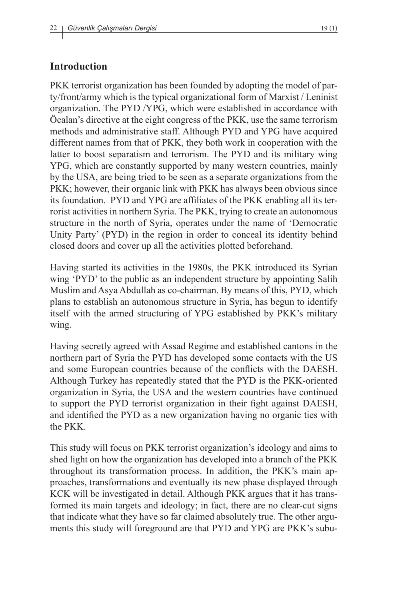#### **Introduction**

PKK terrorist organization has been founded by adopting the model of party/front/army which is the typical organizational form of Marxist / Leninist organization. The PYD /YPG, which were established in accordance with Öcalan's directive at the eight congress of the PKK, use the same terrorism methods and administrative staff. Although PYD and YPG have acquired different names from that of PKK, they both work in cooperation with the latter to boost separatism and terrorism. The PYD and its military wing YPG, which are constantly supported by many western countries, mainly by the USA, are being tried to be seen as a separate organizations from the PKK; however, their organic link with PKK has always been obvious since its foundation. PYD and YPG are affiliates of the PKK enabling all its terrorist activities in northern Syria. The PKK, trying to create an autonomous structure in the north of Syria, operates under the name of 'Democratic Unity Party' (PYD) in the region in order to conceal its identity behind closed doors and cover up all the activities plotted beforehand.

Having started its activities in the 1980s, the PKK introduced its Syrian wing 'PYD' to the public as an independent structure by appointing Salih Muslim and Asya Abdullah as co-chairman. By means of this, PYD, which plans to establish an autonomous structure in Syria, has begun to identify itself with the armed structuring of YPG established by PKK's military wing.

Having secretly agreed with Assad Regime and established cantons in the northern part of Syria the PYD has developed some contacts with the US and some European countries because of the conflicts with the DAESH. Although Turkey has repeatedly stated that the PYD is the PKK-oriented organization in Syria, the USA and the western countries have continued to support the PYD terrorist organization in their fight against DAESH, and identified the PYD as a new organization having no organic ties with the PKK.

This study will focus on PKK terrorist organization's ideology and aims to shed light on how the organization has developed into a branch of the PKK throughout its transformation process. In addition, the PKK's main approaches, transformations and eventually its new phase displayed through KCK will be investigated in detail. Although PKK argues that it has transformed its main targets and ideology; in fact, there are no clear-cut signs that indicate what they have so far claimed absolutely true. The other arguments this study will foreground are that PYD and YPG are PKK's subu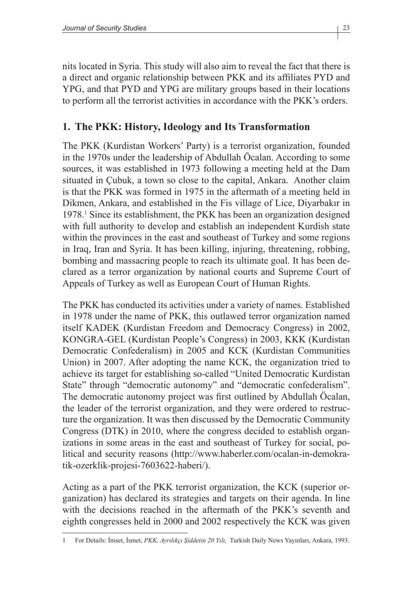nits located in Syria. This study will also aim to reveal the fact that there is a direct and organic relationship between PKK and its affiliates PYD and YPG, and that PYD and YPG are military groups based in their locations to perform all the terrorist activities in accordance with the PKK's orders.

# **1. The PKK: History, Ideology and Its Transformation**

The PKK (Kurdistan Workers' Party) is a terrorist organization, founded in the 1970s under the leadership of Abdullah Öcalan. According to some sources, it was established in 1973 following a meeting held at the Dam situated in Çubuk, a town so close to the capital, Ankara. Another claim is that the PKK was formed in 1975 in the aftermath of a meeting held in Dikmen, Ankara, and established in the Fis village of Lice, Diyarbakır in 1978.1 Since its establishment, the PKK has been an organization designed with full authority to develop and establish an independent Kurdish state within the provinces in the east and southeast of Turkey and some regions in Iraq, Iran and Syria. It has been killing, injuring, threatening, robbing, bombing and massacring people to reach its ultimate goal. It has been declared as a terror organization by national courts and Supreme Court of Appeals of Turkey as well as European Court of Human Rights.

The PKK has conducted its activities under a variety of names. Established in 1978 under the name of PKK, this outlawed terror organization named itself KADEK (Kurdistan Freedom and Democracy Congress) in 2002, KONGRA-GEL (Kurdistan People's Congress) in 2003, KKK (Kurdistan Democratic Confederalism) in 2005 and KCK (Kurdistan Communities Union) in 2007. After adopting the name KCK, the organization tried to achieve its target for establishing so-called "United Democratic Kurdistan State" through "democratic autonomy" and "democratic confederalism". The democratic autonomy project was first outlined by Abdullah Öcalan, the leader of the terrorist organization, and they were ordered to restructure the organization. It was then discussed by the Democratic Community Congress (DTK) in 2010, where the congress decided to establish organizations in some areas in the east and southeast of Turkey for social, political and security reasons (http://www.haberler.com/ocalan-in-demokratik-ozerklik-projesi-7603622-haberi/).

Acting as a part of the PKK terrorist organization, the KCK (superior organization) has declared its strategies and targets on their agenda. In line with the decisions reached in the aftermath of the PKK's seventh and eighth congresses held in 2000 and 2002 respectively the KCK was given

<sup>1</sup> For Details: İmset, İsmet, *PKK, Ayrılıkçı Şiddetin 20 Yılı,* Turkish Daily News Yayınları, Ankara, 1993.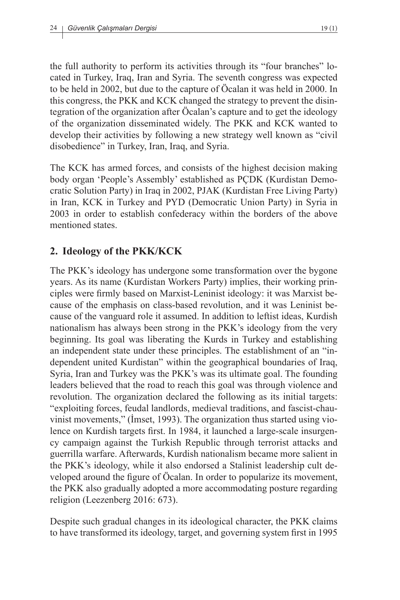the full authority to perform its activities through its "four branches" located in Turkey, Iraq, Iran and Syria. The seventh congress was expected to be held in 2002, but due to the capture of Öcalan it was held in 2000. In this congress, the PKK and KCK changed the strategy to prevent the disintegration of the organization after Öcalan's capture and to get the ideology of the organization disseminated widely. The PKK and KCK wanted to develop their activities by following a new strategy well known as "civil disobedience" in Turkey, Iran, Iraq, and Syria.

The KCK has armed forces, and consists of the highest decision making body organ 'People's Assembly' established as PÇDK (Kurdistan Democratic Solution Party) in Iraq in 2002, PJAK (Kurdistan Free Living Party) in Iran, KCK in Turkey and PYD (Democratic Union Party) in Syria in 2003 in order to establish confederacy within the borders of the above mentioned states.

## **2. Ideology of the PKK/KCK**

The PKK's ideology has undergone some transformation over the bygone years. As its name (Kurdistan Workers Party) implies, their working principles were firmly based on Marxist-Leninist ideology: it was Marxist because of the emphasis on class-based revolution, and it was Leninist because of the vanguard role it assumed. In addition to leftist ideas, Kurdish nationalism has always been strong in the PKK's ideology from the very beginning. Its goal was liberating the Kurds in Turkey and establishing an independent state under these principles. The establishment of an "independent united Kurdistan" within the geographical boundaries of Iraq, Syria, Iran and Turkey was the PKK's was its ultimate goal. The founding leaders believed that the road to reach this goal was through violence and revolution. The organization declared the following as its initial targets: "exploiting forces, feudal landlords, medieval traditions, and fascist-chauvinist movements," (İmset, 1993). The organization thus started using violence on Kurdish targets first. In 1984, it launched a large-scale insurgency campaign against the Turkish Republic through terrorist attacks and guerrilla warfare. Afterwards, Kurdish nationalism became more salient in the PKK's ideology, while it also endorsed a Stalinist leadership cult developed around the figure of Öcalan. In order to popularize its movement, the PKK also gradually adopted a more accommodating posture regarding religion (Leezenberg 2016: 673).

Despite such gradual changes in its ideological character, the PKK claims to have transformed its ideology, target, and governing system first in 1995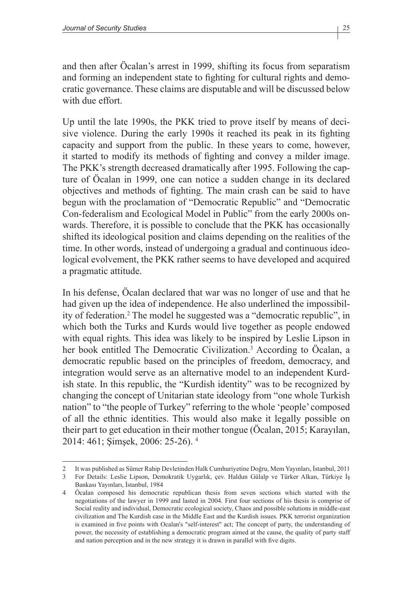and then after Öcalan's arrest in 1999, shifting its focus from separatism and forming an independent state to fighting for cultural rights and democratic governance. These claims are disputable and will be discussed below with due effort.

Up until the late 1990s, the PKK tried to prove itself by means of decisive violence. During the early 1990s it reached its peak in its fighting capacity and support from the public. In these years to come, however, it started to modify its methods of fighting and convey a milder image. The PKK's strength decreased dramatically after 1995. Following the capture of Öcalan in 1999, one can notice a sudden change in its declared objectives and methods of fighting. The main crash can be said to have begun with the proclamation of "Democratic Republic" and "Democratic Con-federalism and Ecological Model in Public" from the early 2000s onwards. Therefore, it is possible to conclude that the PKK has occasionally shifted its ideological position and claims depending on the realities of the time. In other words, instead of undergoing a gradual and continuous ideological evolvement, the PKK rather seems to have developed and acquired a pragmatic attitude.

In his defense, Öcalan declared that war was no longer of use and that he had given up the idea of independence. He also underlined the impossibility of federation.<sup>2</sup> The model he suggested was a "democratic republic", in which both the Turks and Kurds would live together as people endowed with equal rights. This idea was likely to be inspired by Leslie Lipson in her book entitled The Democratic Civilization.<sup>3</sup> According to Öcalan, a democratic republic based on the principles of freedom, democracy, and integration would serve as an alternative model to an independent Kurdish state. In this republic, the "Kurdish identity" was to be recognized by changing the concept of Unitarian state ideology from "one whole Turkish nation" to "the people of Turkey" referring to the whole 'people' composed of all the ethnic identities. This would also make it legally possible on their part to get education in their mother tongue (Öcalan, 2015; Karayılan, 2014: 461; Şimşek, 2006: 25-26). <sup>4</sup>

<sup>2</sup> It was published as Sümer Rahip Devletinden Halk Cumhuriyetine Doğru, Mem Yayınları, İstanbul, 2011

<sup>3</sup> For Details: Leslie Lipson, Demokratik Uygarlık, çev. Haldun Gülalp ve Türker Alkan, Türkiye İş Bankası Yayınları, İstanbul, 1984

<sup>4</sup> Öcalan composed his democratic republican thesis from seven sections which started with the negotiations of the lawyer in 1999 and lasted in 2004. First four sections of his thesis is comprise of Social reality and individual, Democratic ecological society, Chaos and possible solutions in middle-east civilization and The Kurdish case in the Middle East and the Kurdish issues. PKK terrorist organization is examined in five points with Ocalan's "self-interest" act; The concept of party, the understanding of power, the necessity of establishing a democratic program aimed at the cause, the quality of party staff and nation perception and in the new strategy it is drawn in parallel with five digits.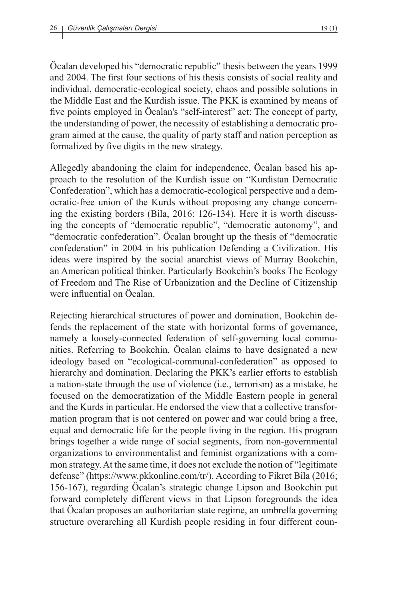Öcalan developed his "democratic republic" thesis between the years 1999 and 2004. The first four sections of his thesis consists of social reality and individual, democratic-ecological society, chaos and possible solutions in the Middle East and the Kurdish issue. The PKK is examined by means of five points employed in Öcalan's "self-interest" act: The concept of party, the understanding of power, the necessity of establishing a democratic program aimed at the cause, the quality of party staff and nation perception as formalized by five digits in the new strategy.

Allegedly abandoning the claim for independence, Öcalan based his approach to the resolution of the Kurdish issue on "Kurdistan Democratic Confederation", which has a democratic-ecological perspective and a democratic-free union of the Kurds without proposing any change concerning the existing borders (Bila, 2016: 126-134). Here it is worth discussing the concepts of "democratic republic", "democratic autonomy", and "democratic confederation". Öcalan brought up the thesis of "democratic confederation" in 2004 in his publication Defending a Civilization. His ideas were inspired by the social anarchist views of Murray Bookchin, an American political thinker. Particularly Bookchin's books The Ecology of Freedom and The Rise of Urbanization and the Decline of Citizenship were influential on Öcalan.

Rejecting hierarchical structures of power and domination, Bookchin defends the replacement of the state with horizontal forms of governance, namely a loosely-connected federation of self-governing local communities. Referring to Bookchin, Öcalan claims to have designated a new ideology based on "ecological-communal-confederation" as opposed to hierarchy and domination. Declaring the PKK's earlier efforts to establish a nation-state through the use of violence (i.e., terrorism) as a mistake, he focused on the democratization of the Middle Eastern people in general and the Kurds in particular. He endorsed the view that a collective transformation program that is not centered on power and war could bring a free, equal and democratic life for the people living in the region. His program brings together a wide range of social segments, from non-governmental organizations to environmentalist and feminist organizations with a common strategy. At the same time, it does not exclude the notion of "legitimate defense" (https://www.pkkonline.com/tr/). According to Fikret Bila (2016; 156-167), regarding Öcalan's strategic change Lipson and Bookchin put forward completely different views in that Lipson foregrounds the idea that Öcalan proposes an authoritarian state regime, an umbrella governing structure overarching all Kurdish people residing in four different coun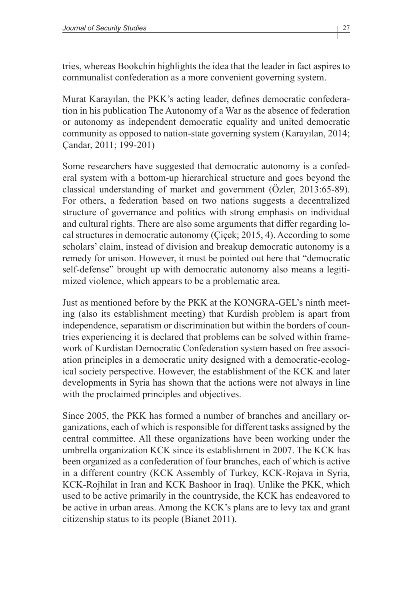tries, whereas Bookchin highlights the idea that the leader in fact aspires to communalist confederation as a more convenient governing system.

Murat Karayılan, the PKK's acting leader, defines democratic confederation in his publication The Autonomy of a War as the absence of federation or autonomy as independent democratic equality and united democratic community as opposed to nation-state governing system (Karayılan, 2014; Çandar, 2011; 199-201)

Some researchers have suggested that democratic autonomy is a confederal system with a bottom-up hierarchical structure and goes beyond the classical understanding of market and government (Özler, 2013:65-89). For others, a federation based on two nations suggests a decentralized structure of governance and politics with strong emphasis on individual and cultural rights. There are also some arguments that differ regarding local structures in democratic autonomy (Çiçek; 2015, 4). According to some scholars' claim, instead of division and breakup democratic autonomy is a remedy for unison. However, it must be pointed out here that "democratic self-defense" brought up with democratic autonomy also means a legitimized violence, which appears to be a problematic area.

Just as mentioned before by the PKK at the KONGRA-GEL's ninth meeting (also its establishment meeting) that Kurdish problem is apart from independence, separatism or discrimination but within the borders of countries experiencing it is declared that problems can be solved within framework of Kurdistan Democratic Confederation system based on free association principles in a democratic unity designed with a democratic-ecological society perspective. However, the establishment of the KCK and later developments in Syria has shown that the actions were not always in line with the proclaimed principles and objectives.

Since 2005, the PKK has formed a number of branches and ancillary organizations, each of which is responsible for different tasks assigned by the central committee. All these organizations have been working under the umbrella organization KCK since its establishment in 2007. The KCK has been organized as a confederation of four branches, each of which is active in a different country (KCK Assembly of Turkey, KCK-Rojava in Syria, KCK-Rojhilat in Iran and KCK Bashoor in Iraq). Unlike the PKK, which used to be active primarily in the countryside, the KCK has endeavored to be active in urban areas. Among the KCK's plans are to levy tax and grant citizenship status to its people (Bianet 2011).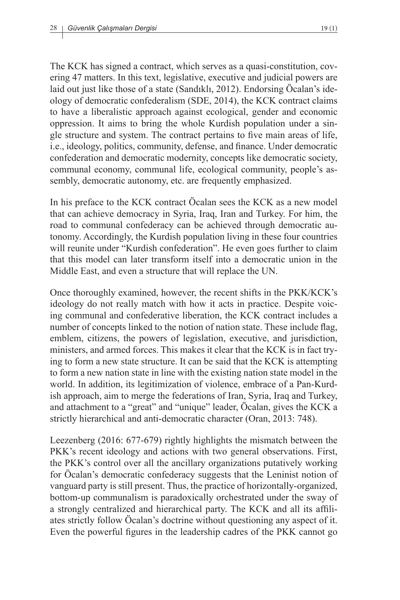The KCK has signed a contract, which serves as a quasi-constitution, covering 47 matters. In this text, legislative, executive and judicial powers are laid out just like those of a state (Sandıklı, 2012). Endorsing Öcalan's ideology of democratic confederalism (SDE, 2014), the KCK contract claims to have a liberalistic approach against ecological, gender and economic oppression. It aims to bring the whole Kurdish population under a single structure and system. The contract pertains to five main areas of life, i.e., ideology, politics, community, defense, and finance. Under democratic confederation and democratic modernity, concepts like democratic society, communal economy, communal life, ecological community, people's assembly, democratic autonomy, etc. are frequently emphasized.

In his preface to the KCK contract Öcalan sees the KCK as a new model that can achieve democracy in Syria, Iraq, Iran and Turkey. For him, the road to communal confederacy can be achieved through democratic autonomy. Accordingly, the Kurdish population living in these four countries will reunite under "Kurdish confederation". He even goes further to claim that this model can later transform itself into a democratic union in the Middle East, and even a structure that will replace the UN.

Once thoroughly examined, however, the recent shifts in the PKK/KCK's ideology do not really match with how it acts in practice. Despite voicing communal and confederative liberation, the KCK contract includes a number of concepts linked to the notion of nation state. These include flag, emblem, citizens, the powers of legislation, executive, and jurisdiction, ministers, and armed forces. This makes it clear that the KCK is in fact trying to form a new state structure. It can be said that the KCK is attempting to form a new nation state in line with the existing nation state model in the world. In addition, its legitimization of violence, embrace of a Pan-Kurdish approach, aim to merge the federations of Iran, Syria, Iraq and Turkey, and attachment to a "great" and "unique" leader, Öcalan, gives the KCK a strictly hierarchical and anti-democratic character (Oran, 2013: 748).

Leezenberg (2016: 677-679) rightly highlights the mismatch between the PKK's recent ideology and actions with two general observations. First, the PKK's control over all the ancillary organizations putatively working for Öcalan's democratic confederacy suggests that the Leninist notion of vanguard party is still present. Thus, the practice of horizontally-organized, bottom-up communalism is paradoxically orchestrated under the sway of a strongly centralized and hierarchical party. The KCK and all its affiliates strictly follow Öcalan's doctrine without questioning any aspect of it. Even the powerful figures in the leadership cadres of the PKK cannot go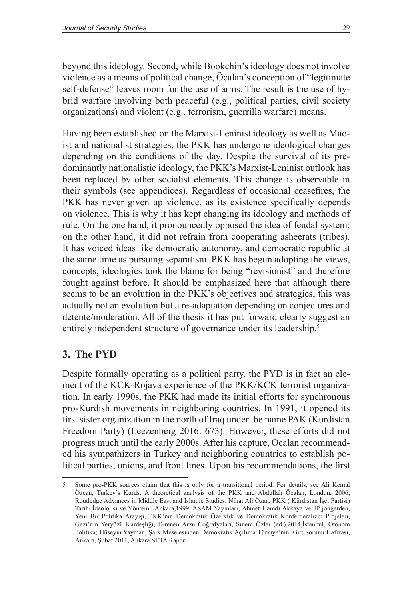beyond this ideology. Second, while Bookchin's ideology does not involve violence as a means of political change, Öcalan's conception of "legitimate self-defense" leaves room for the use of arms. The result is the use of hybrid warfare involving both peaceful (e.g., political parties, civil society organizations) and violent (e.g., terrorism, guerrilla warfare) means.

Having been established on the Marxist-Leninist ideology as well as Maoist and nationalist strategies, the PKK has undergone ideological changes depending on the conditions of the day. Despite the survival of its predominantly nationalistic ideology, the PKK's Marxist-Leninist outlook has been replaced by other socialist elements. This change is observable in their symbols (see appendices). Regardless of occasional ceasefires, the PKK has never given up violence, as its existence specifically depends on violence. This is why it has kept changing its ideology and methods of rule. On the one hand, it pronouncedly opposed the idea of feudal system; on the other hand, it did not refrain from cooperating asheerats (tribes). It has voiced ideas like democratic autonomy, and democratic republic at the same time as pursuing separatism. PKK has begun adopting the views, concepts; ideologies took the blame for being "revisionist" and therefore fought against before. It should be emphasized here that although there seems to be an evolution in the PKK's objectives and strategies, this was actually not an evolution but a re-adaptation depending on conjectures and detente/moderation. All of the thesis it has put forward clearly suggest an entirely independent structure of governance under its leadership.<sup>5</sup>

## **3. The PYD**

Despite formally operating as a political party, the PYD is in fact an element of the KCK-Rojava experience of the PKK/KCK terrorist organization. In early 1990s, the PKK had made its initial efforts for synchronous pro-Kurdish movements in neighboring countries. In 1991, it opened its first sister organization in the north of Iraq under the name PAK (Kurdistan Freedom Party) (Leezenberg 2016: 673). However, these efforts did not progress much until the early 2000s. After his capture, Öcalan recommended his sympathizers in Turkey and neighboring countries to establish political parties, unions, and front lines. Upon his recommendations, the first

<sup>5</sup> Some pro-PKK sources claim that this is only for a transitional period. For details, see Ali Kemal Özcan, Turkey's Kurds: A theoretical analysis of the PKK and Abdullah Öcalan, London, 2006, Routledge Advances in Middle East and Islamic Studies; Nihat Ali Özan, PKK ( Kürdistan İşçi Partisi) Tarihi,İdeolojisi ve Yöntemi, Ankara,1999, ASAM Yayınları; Ahmet Hamdi Akkaya ve JP jongerden, Yeni Bir Politika Arayışı, PKK'nin Demokratik Özerklik ve Demokratik Konferderalizm Projeleri, Gezi'nin Yeryüzü Kardeşliği, Direnen Arzu Coğrafyaları, Sinem Özler (ed.),2014,İstanbul, Otonom Politika; Hüseyin Yayman, Şark Meselesinden Demokratik Açılıma Türkiye'nin Kürt Sorunu Hafızası, Ankara, Şubat 2011, Ankara SETA Rapor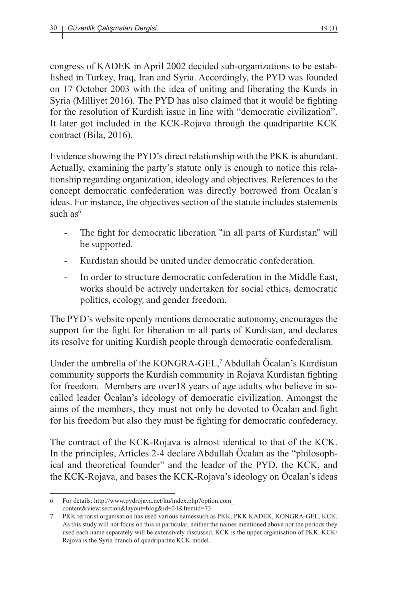congress of KADEK in April 2002 decided sub-organizations to be established in Turkey, Iraq, Iran and Syria. Accordingly, the PYD was founded on 17 October 2003 with the idea of uniting and liberating the Kurds in Syria (Milliyet 2016). The PYD has also claimed that it would be fighting for the resolution of Kurdish issue in line with "democratic civilization". It later got included in the KCK-Rojava through the quadripartite KCK contract (Bila, 2016).

Evidence showing the PYD's direct relationship with the PKK is abundant. Actually, examining the party's statute only is enough to notice this relationship regarding organization, ideology and objectives. References to the concept democratic confederation was directly borrowed from Öcalan's ideas. For instance, the objectives section of the statute includes statements such  $as<sup>6</sup>$ 

- The fight for democratic liberation "in all parts of Kurdistan" will be supported.
- Kurdistan should be united under democratic confederation.
- In order to structure democratic confederation in the Middle East, works should be actively undertaken for social ethics, democratic politics, ecology, and gender freedom.

The PYD's website openly mentions democratic autonomy, encourages the support for the fight for liberation in all parts of Kurdistan, and declares its resolve for uniting Kurdish people through democratic confederalism.

Under the umbrella of the KONGRA-GEL,<sup>7</sup> Abdullah Öcalan's Kurdistan community supports the Kurdish community in Rojava Kurdistan fighting for freedom. Members are over18 years of age adults who believe in socalled leader Öcalan's ideology of democratic civilization. Amongst the aims of the members, they must not only be devoted to Öcalan and fight for his freedom but also they must be fighting for democratic confederacy.

The contract of the KCK-Rojava is almost identical to that of the KCK. In the principles, Articles 2-4 declare Abdullah Öcalan as the "philosophical and theoretical founder" and the leader of the PYD, the KCK, and the KCK-Rojava, and bases the KCK-Rojava's ideology on Öcalan's ideas

<sup>6</sup> For details: http://www.pydrojava.net/ku/index.php?option:com\_ content&view:section&layout=blog&id=24&Itemid=73

<sup>7</sup> PKK terrorist organisation has used various namessuch as PKK, PKK KADEK, KONGRA-GEL, KCK. As this study will not focus on this in particular, neither the names mentioned above nor the periods they used each name separately will be extensively discussed. KCK is the upper organisation of PKK. KCK/ Rajova is the Syria branch of quadripartite KCK model.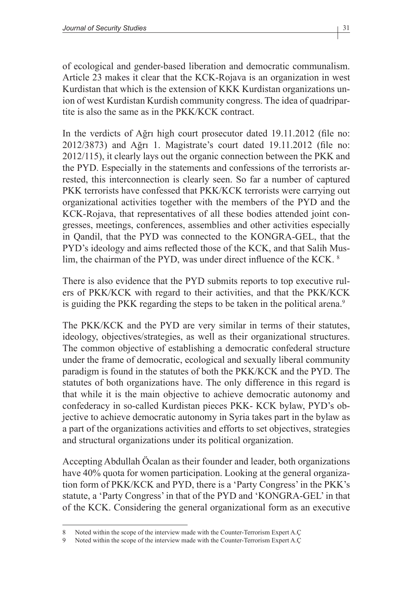of ecological and gender-based liberation and democratic communalism. Article 23 makes it clear that the KCK-Rojava is an organization in west Kurdistan that which is the extension of KKK Kurdistan organizations union of west Kurdistan Kurdish community congress. The idea of quadripartite is also the same as in the PKK/KCK contract.

In the verdicts of Ağrı high court prosecutor dated 19.11.2012 (file no: 2012/3873) and Ağrı 1. Magistrate's court dated 19.11.2012 (file no: 2012/115), it clearly lays out the organic connection between the PKK and the PYD. Especially in the statements and confessions of the terrorists arrested, this interconnection is clearly seen. So far a number of captured PKK terrorists have confessed that PKK/KCK terrorists were carrying out organizational activities together with the members of the PYD and the KCK-Rojava, that representatives of all these bodies attended joint congresses, meetings, conferences, assemblies and other activities especially in Qandil, that the PYD was connected to the KONGRA-GEL, that the PYD's ideology and aims reflected those of the KCK, and that Salih Muslim, the chairman of the PYD, was under direct influence of the KCK. <sup>8</sup>

There is also evidence that the PYD submits reports to top executive rulers of PKK/KCK with regard to their activities, and that the PKK/KCK is guiding the PKK regarding the steps to be taken in the political arena.<sup>9</sup>

The PKK/KCK and the PYD are very similar in terms of their statutes, ideology, objectives/strategies, as well as their organizational structures. The common objective of establishing a democratic confederal structure under the frame of democratic, ecological and sexually liberal community paradigm is found in the statutes of both the PKK/KCK and the PYD. The statutes of both organizations have. The only difference in this regard is that while it is the main objective to achieve democratic autonomy and confederacy in so-called Kurdistan pieces PKK- KCK bylaw, PYD's objective to achieve democratic autonomy in Syria takes part in the bylaw as a part of the organizations activities and efforts to set objectives, strategies and structural organizations under its political organization.

Accepting Abdullah Öcalan as their founder and leader, both organizations have 40% quota for women participation. Looking at the general organization form of PKK/KCK and PYD, there is a 'Party Congress' in the PKK's statute, a 'Party Congress' in that of the PYD and 'KONGRA-GEL' in that of the KCK. Considering the general organizational form as an executive

<sup>8</sup> Noted within the scope of the interview made with the Counter-Terrorism Expert A.Ç

Noted within the scope of the interview made with the Counter-Terrorism Expert A.C.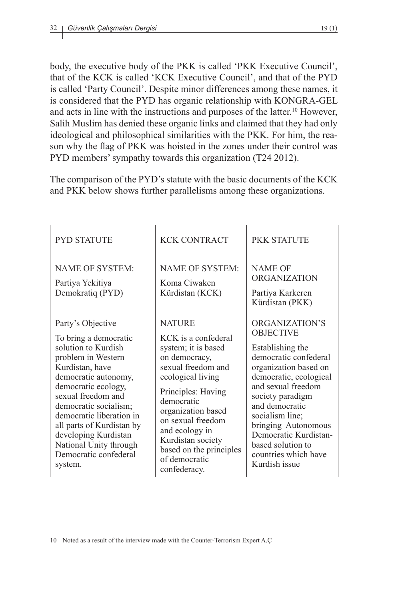body, the executive body of the PKK is called 'PKK Executive Council', that of the KCK is called 'KCK Executive Council', and that of the PYD is called 'Party Council'. Despite minor differences among these names, it is considered that the PYD has organic relationship with KONGRA-GEL and acts in line with the instructions and purposes of the latter.<sup>10</sup> However, Salih Muslim has denied these organic links and claimed that they had only ideological and philosophical similarities with the PKK. For him, the reason why the flag of PKK was hoisted in the zones under their control was PYD members' sympathy towards this organization (T24 2012).

The comparison of the PYD's statute with the basic documents of the KCK and PKK below shows further parallelisms among these organizations.

| <b>PYD STATUTE</b>                                                                                                                                                                                                                                                                                                                                      | <b>KCK CONTRACT</b>                                                                                                                                                                                                                                                                                       | PKK STATUTE                                                                                                                                                                                                                                                                                                                     |
|---------------------------------------------------------------------------------------------------------------------------------------------------------------------------------------------------------------------------------------------------------------------------------------------------------------------------------------------------------|-----------------------------------------------------------------------------------------------------------------------------------------------------------------------------------------------------------------------------------------------------------------------------------------------------------|---------------------------------------------------------------------------------------------------------------------------------------------------------------------------------------------------------------------------------------------------------------------------------------------------------------------------------|
| <b>NAME OF SYSTEM:</b><br>Partiya Yekitiya<br>Demokratiq (PYD)                                                                                                                                                                                                                                                                                          | <b>NAME OF SYSTEM:</b><br>Koma Ciwaken<br>Kürdistan (KCK)                                                                                                                                                                                                                                                 | <b>NAME OF</b><br><b>ORGANIZATION</b><br>Partiya Karkeren<br>Kürdistan (PKK)                                                                                                                                                                                                                                                    |
| Party's Objective<br>To bring a democratic<br>solution to Kurdish<br>problem in Western<br>Kurdistan, have<br>democratic autonomy,<br>democratic ecology,<br>sexual freedom and<br>democratic socialism;<br>democratic liberation in<br>all parts of Kurdistan by<br>developing Kurdistan<br>National Unity through<br>Democratic confederal<br>system. | <b>NATURE</b><br>KCK is a confederal<br>system; it is based<br>on democracy,<br>sexual freedom and<br>ecological living<br>Principles: Having<br>democratic<br>organization based<br>on sexual freedom<br>and ecology in<br>Kurdistan society<br>based on the principles<br>of democratic<br>confederacy. | ORGANIZATION'S<br><b>OBJECTIVE</b><br>Establishing the<br>democratic confederal<br>organization based on<br>democratic, ecological<br>and sexual freedom<br>society paradigm<br>and democratic<br>socialism line;<br>bringing Autonomous<br>Democratic Kurdistan-<br>based solution to<br>countries which have<br>Kurdish issue |

<sup>10</sup> Noted as a result of the interview made with the Counter-Terrorism Expert A.Ç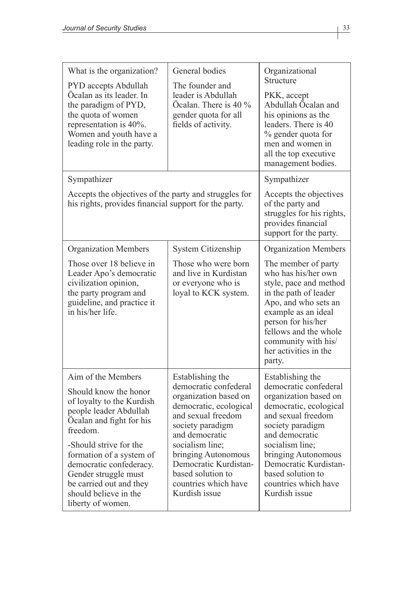| What is the organization?<br>PYD accepts Abdullah<br>Öcalan as its leader. In<br>the paradigm of PYD,<br>the quota of women<br>representation is 40%.<br>Women and youth have a<br>leading role in the party.                                                                                                                | General bodies<br>The founder and<br>leader is Abdullah<br>Öcalan. There is 40 %<br>gender quota for all<br>fields of activity.                                                                                                                                                           | Organizational<br>Structure<br>PKK, accept<br>Abdullah Öcalan and<br>his opinions as the<br>leaders. There is 40<br>% gender quota for<br>men and women in<br>all the top executive<br>management bodies.                                                                                 |
|------------------------------------------------------------------------------------------------------------------------------------------------------------------------------------------------------------------------------------------------------------------------------------------------------------------------------|-------------------------------------------------------------------------------------------------------------------------------------------------------------------------------------------------------------------------------------------------------------------------------------------|-------------------------------------------------------------------------------------------------------------------------------------------------------------------------------------------------------------------------------------------------------------------------------------------|
| Sympathizer<br>Accepts the objectives of the party and struggles for<br>his rights, provides financial support for the party.                                                                                                                                                                                                |                                                                                                                                                                                                                                                                                           | Sympathizer<br>Accepts the objectives<br>of the party and<br>struggles for his rights,<br>provides financial<br>support for the party.                                                                                                                                                    |
| <b>Organization Members</b><br>Those over 18 believe in<br>Leader Apo's democratic<br>civilization opinion,<br>the party program and<br>guideline, and practice it<br>in his/her life                                                                                                                                        | System Citizenship<br>Those who were born<br>and live in Kurdistan<br>or everyone who is<br>loyal to KCK system.                                                                                                                                                                          | <b>Organization Members</b><br>The member of party<br>who has his/her own<br>style, pace and method<br>in the path of leader<br>Apo, and who sets an<br>example as an ideal<br>person for his/her<br>fellows and the whole<br>community with his/<br>her activities in the<br>party.      |
| Aim of the Members<br>Should know the honor<br>of loyalty to the Kurdish<br>people leader Abdullah<br>Öcalan and fight for his<br>freedom.<br>-Should strive for the<br>formation of a system of<br>democratic confederacy.<br>Gender struggle must<br>be carried out and they<br>should believe in the<br>liberty of women. | Establishing the<br>democratic confederal<br>organization based on<br>democratic, ecological<br>and sexual freedom<br>society paradigm<br>and democratic<br>socialism line;<br>bringing Autonomous<br>Democratic Kurdistan-<br>based solution to<br>countries which have<br>Kurdish issue | Establishing the<br>democratic confederal<br>organization based on<br>democratic, ecological<br>and sexual freedom<br>society paradigm<br>and democratic<br>socialism line;<br>bringing Autonomous<br>Democratic Kurdistan-<br>based solution to<br>countries which have<br>Kurdish issue |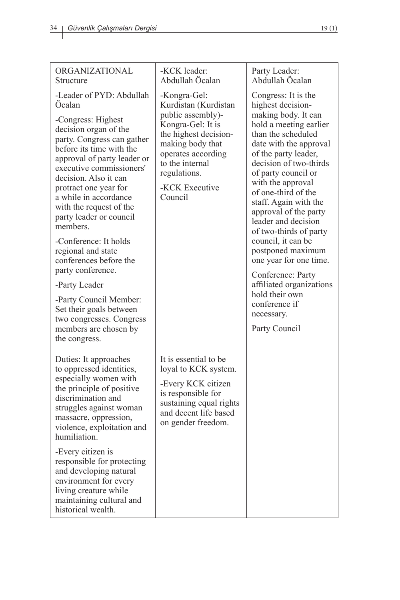| ORGANIZATIONAL<br>Structure                                                                                                                                                                                                                                                                                                                                                                                                                                        | -KCK leader:<br>Abdullah Öcalan                                                                                                                                                                                   | Party Leader:<br>Abdullah Öcalan                                                                                                                                                                                                                                                                                                                                                                                                                                                                          |
|--------------------------------------------------------------------------------------------------------------------------------------------------------------------------------------------------------------------------------------------------------------------------------------------------------------------------------------------------------------------------------------------------------------------------------------------------------------------|-------------------------------------------------------------------------------------------------------------------------------------------------------------------------------------------------------------------|-----------------------------------------------------------------------------------------------------------------------------------------------------------------------------------------------------------------------------------------------------------------------------------------------------------------------------------------------------------------------------------------------------------------------------------------------------------------------------------------------------------|
| -Leader of PYD: Abdullah<br>Ocalan<br>-Congress: Highest<br>decision organ of the<br>party. Congress can gather<br>before its time with the<br>approval of party leader or<br>executive commissioners'<br>decision. Also it can<br>protract one year for<br>a while in accordance<br>with the request of the<br>party leader or council<br>members.<br>-Conference: It holds<br>regional and state<br>conferences before the<br>party conference.<br>-Party Leader | -Kongra-Gel:<br>Kurdistan (Kurdistan<br>public assembly)-<br>Kongra-Gel: It is<br>the highest decision-<br>making body that<br>operates according<br>to the internal<br>regulations.<br>-KCK Executive<br>Council | Congress: It is the<br>highest decision-<br>making body. It can<br>hold a meeting earlier<br>than the scheduled<br>date with the approval<br>of the party leader,<br>decision of two-thirds<br>of party council or<br>with the approval<br>of one-third of the<br>staff. Again with the<br>approval of the party<br>leader and decision<br>of two-thirds of party<br>council, it can be<br>postponed maximum<br>one year for one time.<br>Conference: Party<br>affiliated organizations<br>hold their own |
| -Party Council Member:<br>Set their goals between<br>two congresses. Congress<br>members are chosen by<br>the congress.                                                                                                                                                                                                                                                                                                                                            |                                                                                                                                                                                                                   | conference if<br>necessary.<br>Party Council                                                                                                                                                                                                                                                                                                                                                                                                                                                              |
| Duties: It approaches<br>to oppressed identities,<br>especially women with<br>the principle of positive<br>discrimination and<br>struggles against woman<br>massacre, oppression,<br>violence, exploitation and<br>humiliation.<br>-Every citizen is<br>responsible for protecting<br>and developing natural<br>environment for every<br>living creature while<br>maintaining cultural and<br>historical wealth.                                                   | It is essential to be<br>loyal to KCK system.<br>-Every KCK citizen<br>is responsible for<br>sustaining equal rights<br>and decent life based<br>on gender freedom.                                               |                                                                                                                                                                                                                                                                                                                                                                                                                                                                                                           |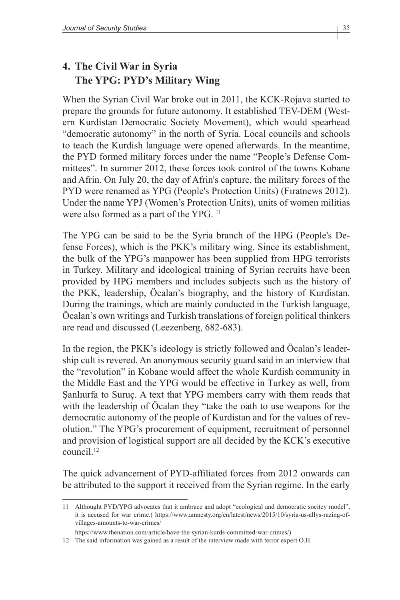# **4. The Civil War in Syria The YPG: PYD's Military Wing**

When the Syrian Civil War broke out in 2011, the KCK-Rojava started to prepare the grounds for future autonomy. It established TEV-DEM (Western Kurdistan Democratic Society Movement), which would spearhead "democratic autonomy" in the north of Syria. Local councils and schools to teach the Kurdish language were opened afterwards. In the meantime, the PYD formed military forces under the name "People's Defense Committees". In summer 2012, these forces took control of the towns Kobane and Afrin. On July 20, the day of Afrin's capture, the military forces of the PYD were renamed as YPG (People's Protection Units) (Fıratnews 2012). Under the name YPJ (Women's Protection Units), units of women militias were also formed as a part of the YPG.<sup>11</sup>

The YPG can be said to be the Syria branch of the HPG (People's Defense Forces), which is the PKK's military wing. Since its establishment, the bulk of the YPG's manpower has been supplied from HPG terrorists in Turkey. Military and ideological training of Syrian recruits have been provided by HPG members and includes subjects such as the history of the PKK, leadership, Öcalan's biography, and the history of Kurdistan. During the trainings, which are mainly conducted in the Turkish language, Öcalan's own writings and Turkish translations of foreign political thinkers are read and discussed (Leezenberg, 682-683).

In the region, the PKK's ideology is strictly followed and Öcalan's leadership cult is revered. An anonymous security guard said in an interview that the "revolution" in Kobane would affect the whole Kurdish community in the Middle East and the YPG would be effective in Turkey as well, from Şanlıurfa to Suruç. A text that YPG members carry with them reads that with the leadership of Öcalan they "take the oath to use weapons for the democratic autonomy of the people of Kurdistan and for the values of revolution." The YPG's procurement of equipment, recruitment of personnel and provision of logistical support are all decided by the KCK's executive council<sup>12</sup>

The quick advancement of PYD-affiliated forces from 2012 onwards can be attributed to the support it received from the Syrian regime. In the early

<sup>11</sup> Althought PYD/YPG advocates that it ambrace and adopt "ecological and democratic socitey model", it is accused for war crime.( https://www.amnesty.org/en/latest/news/2015/10/syria-us-allys-razing-ofvillages-amounts-to-war-crimes/

https://www.thenation.com/article/have-the-syrian-kurds-committed-war-crimes/)

<sup>12</sup> The said information was gained as a result of the interview made with terror expert O.H.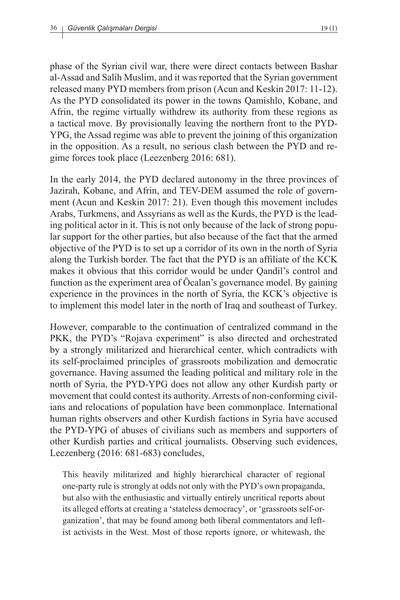phase of the Syrian civil war, there were direct contacts between Bashar al-Assad and Salih Muslim, and it was reported that the Syrian government released many PYD members from prison (Acun and Keskin 2017: 11-12). As the PYD consolidated its power in the towns Qamishlo, Kobane, and Afrin, the regime virtually withdrew its authority from these regions as a tactical move. By provisionally leaving the northern front to the PYD-YPG, the Assad regime was able to prevent the joining of this organization in the opposition. As a result, no serious clash between the PYD and regime forces took place (Leezenberg 2016: 681).

In the early 2014, the PYD declared autonomy in the three provinces of Jazirah, Kobane, and Afrin, and TEV-DEM assumed the role of government (Acun and Keskin 2017: 21). Even though this movement includes Arabs, Turkmens, and Assyrians as well as the Kurds, the PYD is the leading political actor in it. This is not only because of the lack of strong popular support for the other parties, but also because of the fact that the armed objective of the PYD is to set up a corridor of its own in the north of Syria along the Turkish border. The fact that the PYD is an affiliate of the KCK makes it obvious that this corridor would be under Qandil's control and function as the experiment area of Öcalan's governance model. By gaining experience in the provinces in the north of Syria, the KCK's objective is to implement this model later in the north of Iraq and southeast of Turkey.

However, comparable to the continuation of centralized command in the PKK, the PYD's "Rojava experiment" is also directed and orchestrated by a strongly militarized and hierarchical center, which contradicts with its self-proclaimed principles of grassroots mobilization and democratic governance. Having assumed the leading political and military role in the north of Syria, the PYD-YPG does not allow any other Kurdish party or movement that could contest its authority. Arrests of non-conforming civilians and relocations of population have been commonplace. International human rights observers and other Kurdish factions in Syria have accused the PYD-YPG of abuses of civilians such as members and supporters of other Kurdish parties and critical journalists. Observing such evidences, Leezenberg (2016: 681-683) concludes,

This heavily militarized and highly hierarchical character of regional one-party rule is strongly at odds not only with the PYD's own propaganda, but also with the enthusiastic and virtually entirely uncritical reports about its alleged efforts at creating a 'stateless democracy', or 'grassroots self-organization', that may be found among both liberal commentators and leftist activists in the West. Most of those reports ignore, or whitewash, the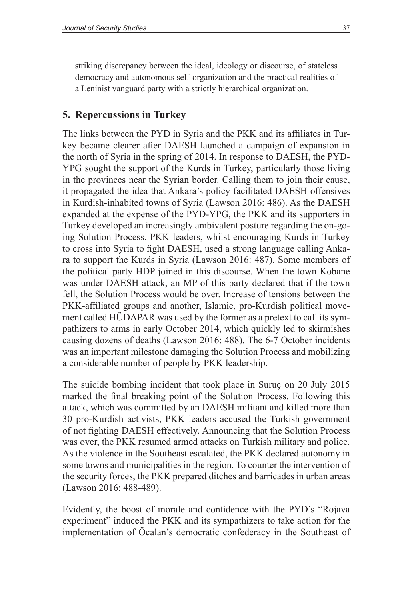striking discrepancy between the ideal, ideology or discourse, of stateless democracy and autonomous self-organization and the practical realities of a Leninist vanguard party with a strictly hierarchical organization.

### **5. Repercussions in Turkey**

The links between the PYD in Syria and the PKK and its affiliates in Turkey became clearer after DAESH launched a campaign of expansion in the north of Syria in the spring of 2014. In response to DAESH, the PYD-YPG sought the support of the Kurds in Turkey, particularly those living in the provinces near the Syrian border. Calling them to join their cause, it propagated the idea that Ankara's policy facilitated DAESH offensives in Kurdish-inhabited towns of Syria (Lawson 2016: 486). As the DAESH expanded at the expense of the PYD-YPG, the PKK and its supporters in Turkey developed an increasingly ambivalent posture regarding the on-going Solution Process. PKK leaders, whilst encouraging Kurds in Turkey to cross into Syria to fight DAESH, used a strong language calling Ankara to support the Kurds in Syria (Lawson 2016: 487). Some members of the political party HDP joined in this discourse. When the town Kobane was under DAESH attack, an MP of this party declared that if the town fell, the Solution Process would be over. Increase of tensions between the PKK-affiliated groups and another, Islamic, pro-Kurdish political movement called HÜDAPAR was used by the former as a pretext to call its sympathizers to arms in early October 2014, which quickly led to skirmishes causing dozens of deaths (Lawson 2016: 488). The 6-7 October incidents was an important milestone damaging the Solution Process and mobilizing a considerable number of people by PKK leadership.

The suicide bombing incident that took place in Suruç on 20 July 2015 marked the final breaking point of the Solution Process. Following this attack, which was committed by an DAESH militant and killed more than 30 pro-Kurdish activists, PKK leaders accused the Turkish government of not fighting DAESH effectively. Announcing that the Solution Process was over, the PKK resumed armed attacks on Turkish military and police. As the violence in the Southeast escalated, the PKK declared autonomy in some towns and municipalities in the region. To counter the intervention of the security forces, the PKK prepared ditches and barricades in urban areas (Lawson 2016: 488-489).

Evidently, the boost of morale and confidence with the PYD's "Rojava experiment" induced the PKK and its sympathizers to take action for the implementation of Öcalan's democratic confederacy in the Southeast of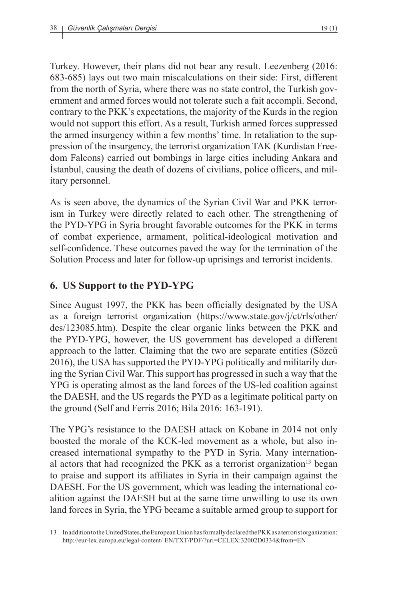Turkey. However, their plans did not bear any result. Leezenberg (2016: 683-685) lays out two main miscalculations on their side: First, different from the north of Syria, where there was no state control, the Turkish government and armed forces would not tolerate such a fait accompli. Second, contrary to the PKK's expectations, the majority of the Kurds in the region would not support this effort. As a result, Turkish armed forces suppressed the armed insurgency within a few months' time. In retaliation to the suppression of the insurgency, the terrorist organization TAK (Kurdistan Freedom Falcons) carried out bombings in large cities including Ankara and İstanbul, causing the death of dozens of civilians, police officers, and military personnel.

As is seen above, the dynamics of the Syrian Civil War and PKK terrorism in Turkey were directly related to each other. The strengthening of the PYD-YPG in Syria brought favorable outcomes for the PKK in terms of combat experience, armament, political-ideological motivation and self-confidence. These outcomes paved the way for the termination of the Solution Process and later for follow-up uprisings and terrorist incidents.

### **6. US Support to the PYD-YPG**

Since August 1997, the PKK has been officially designated by the USA as a foreign terrorist organization (https://www.state.gov/j/ct/rls/other/ des/123085.htm). Despite the clear organic links between the PKK and the PYD-YPG, however, the US government has developed a different approach to the latter. Claiming that the two are separate entities (Sözcü 2016), the USA has supported the PYD-YPG politically and militarily during the Syrian Civil War. This support has progressed in such a way that the YPG is operating almost as the land forces of the US-led coalition against the DAESH, and the US regards the PYD as a legitimate political party on the ground (Self and Ferris 2016; Bila 2016: 163-191).

The YPG's resistance to the DAESH attack on Kobane in 2014 not only boosted the morale of the KCK-led movement as a whole, but also increased international sympathy to the PYD in Syria. Many international actors that had recognized the PKK as a terrorist organization<sup>13</sup> began to praise and support its affiliates in Syria in their campaign against the DAESH. For the US government, which was leading the international coalition against the DAESH but at the same time unwilling to use its own land forces in Syria, the YPG became a suitable armed group to support for

<sup>13</sup> In addition to the United States, the European Union has formally declared the PKK as a terrorist organization: http://eur-lex.europa.eu/legal-content/ EN/TXT/PDF/?uri=CELEX:32002D0334&from=EN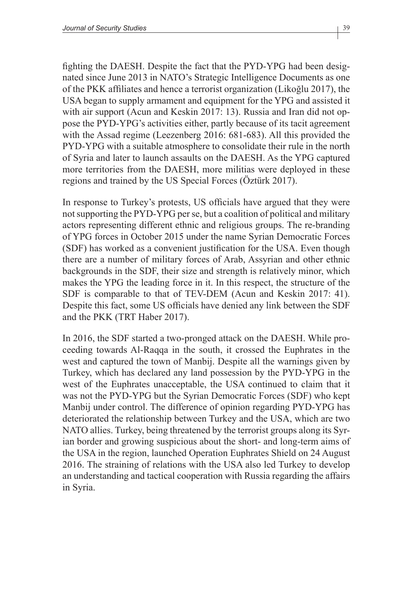fighting the DAESH. Despite the fact that the PYD-YPG had been designated since June 2013 in NATO's Strategic Intelligence Documents as one of the PKK affiliates and hence a terrorist organization (Likoğlu 2017), the USA began to supply armament and equipment for the YPG and assisted it with air support (Acun and Keskin 2017: 13). Russia and Iran did not oppose the PYD-YPG's activities either, partly because of its tacit agreement with the Assad regime (Leezenberg 2016: 681-683). All this provided the PYD-YPG with a suitable atmosphere to consolidate their rule in the north of Syria and later to launch assaults on the DAESH. As the YPG captured more territories from the DAESH, more militias were deployed in these regions and trained by the US Special Forces (Öztürk 2017).

In response to Turkey's protests, US officials have argued that they were not supporting the PYD-YPG per se, but a coalition of political and military actors representing different ethnic and religious groups. The re-branding of YPG forces in October 2015 under the name Syrian Democratic Forces (SDF) has worked as a convenient justification for the USA. Even though there are a number of military forces of Arab, Assyrian and other ethnic backgrounds in the SDF, their size and strength is relatively minor, which makes the YPG the leading force in it. In this respect, the structure of the SDF is comparable to that of TEV-DEM (Acun and Keskin 2017: 41). Despite this fact, some US officials have denied any link between the SDF and the PKK (TRT Haber 2017).

In 2016, the SDF started a two-pronged attack on the DAESH. While proceeding towards Al-Raqqa in the south, it crossed the Euphrates in the west and captured the town of Manbij. Despite all the warnings given by Turkey, which has declared any land possession by the PYD-YPG in the west of the Euphrates unacceptable, the USA continued to claim that it was not the PYD-YPG but the Syrian Democratic Forces (SDF) who kept Manbij under control. The difference of opinion regarding PYD-YPG has deteriorated the relationship between Turkey and the USA, which are two NATO allies. Turkey, being threatened by the terrorist groups along its Syrian border and growing suspicious about the short- and long-term aims of the USA in the region, launched Operation Euphrates Shield on 24 August 2016. The straining of relations with the USA also led Turkey to develop an understanding and tactical cooperation with Russia regarding the affairs in Syria.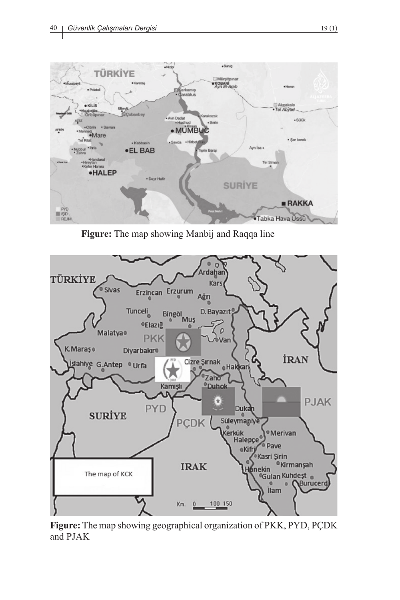

**Figure:** The map showing Manbij and Raqqa line



**Figure:** The map showing geographical organization of PKK, PYD, PÇDK and PJAK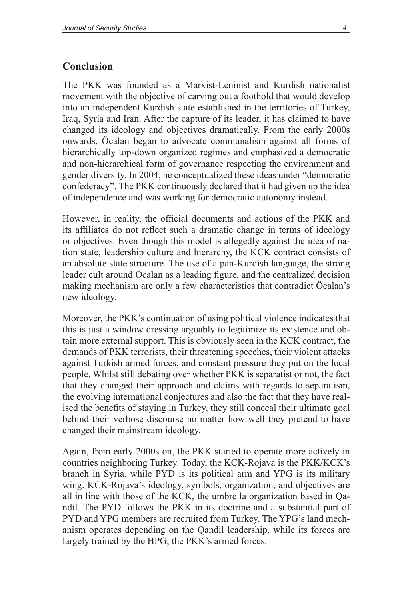### **Conclusion**

The PKK was founded as a Marxist-Leninist and Kurdish nationalist movement with the objective of carving out a foothold that would develop into an independent Kurdish state established in the territories of Turkey, Iraq, Syria and Iran. After the capture of its leader, it has claimed to have changed its ideology and objectives dramatically. From the early 2000s onwards, Öcalan began to advocate communalism against all forms of hierarchically top-down organized regimes and emphasized a democratic and non-hierarchical form of governance respecting the environment and gender diversity. In 2004, he conceptualized these ideas under "democratic confederacy". The PKK continuously declared that it had given up the idea of independence and was working for democratic autonomy instead.

However, in reality, the official documents and actions of the PKK and its affiliates do not reflect such a dramatic change in terms of ideology or objectives. Even though this model is allegedly against the idea of nation state, leadership culture and hierarchy, the KCK contract consists of an absolute state structure. The use of a pan-Kurdish language, the strong leader cult around Öcalan as a leading figure, and the centralized decision making mechanism are only a few characteristics that contradict Öcalan's new ideology.

Moreover, the PKK's continuation of using political violence indicates that this is just a window dressing arguably to legitimize its existence and obtain more external support. This is obviously seen in the KCK contract, the demands of PKK terrorists, their threatening speeches, their violent attacks against Turkish armed forces, and constant pressure they put on the local people. Whilst still debating over whether PKK is separatist or not, the fact that they changed their approach and claims with regards to separatism, the evolving international conjectures and also the fact that they have realised the benefits of staying in Turkey, they still conceal their ultimate goal behind their verbose discourse no matter how well they pretend to have changed their mainstream ideology.

Again, from early 2000s on, the PKK started to operate more actively in countries neighboring Turkey. Today, the KCK-Rojava is the PKK/KCK's branch in Syria, while PYD is its political arm and YPG is its military wing. KCK-Rojava's ideology, symbols, organization, and objectives are all in line with those of the KCK, the umbrella organization based in Qandil. The PYD follows the PKK in its doctrine and a substantial part of PYD and YPG members are recruited from Turkey. The YPG's land mechanism operates depending on the Qandil leadership, while its forces are largely trained by the HPG, the PKK's armed forces.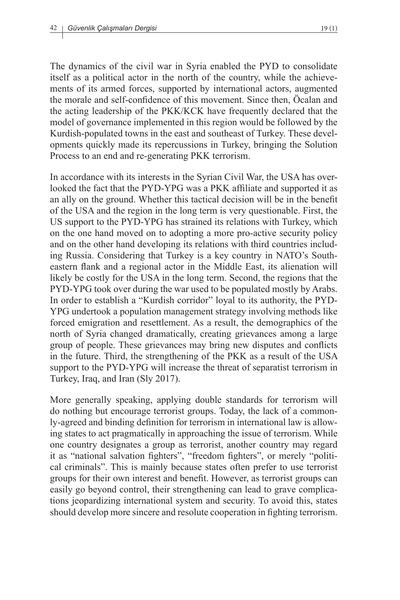The dynamics of the civil war in Syria enabled the PYD to consolidate itself as a political actor in the north of the country, while the achievements of its armed forces, supported by international actors, augmented the morale and self-confidence of this movement. Since then, Öcalan and the acting leadership of the PKK/KCK have frequently declared that the model of governance implemented in this region would be followed by the Kurdish-populated towns in the east and southeast of Turkey. These developments quickly made its repercussions in Turkey, bringing the Solution Process to an end and re-generating PKK terrorism.

In accordance with its interests in the Syrian Civil War, the USA has overlooked the fact that the PYD-YPG was a PKK affiliate and supported it as an ally on the ground. Whether this tactical decision will be in the benefit of the USA and the region in the long term is very questionable. First, the US support to the PYD-YPG has strained its relations with Turkey, which on the one hand moved on to adopting a more pro-active security policy and on the other hand developing its relations with third countries including Russia. Considering that Turkey is a key country in NATO's Southeastern flank and a regional actor in the Middle East, its alienation will likely be costly for the USA in the long term. Second, the regions that the PYD-YPG took over during the war used to be populated mostly by Arabs. In order to establish a "Kurdish corridor" loyal to its authority, the PYD-YPG undertook a population management strategy involving methods like forced emigration and resettlement. As a result, the demographics of the north of Syria changed dramatically, creating grievances among a large group of people. These grievances may bring new disputes and conflicts in the future. Third, the strengthening of the PKK as a result of the USA support to the PYD-YPG will increase the threat of separatist terrorism in Turkey, Iraq, and Iran (Sly 2017).

More generally speaking, applying double standards for terrorism will do nothing but encourage terrorist groups. Today, the lack of a commonly-agreed and binding definition for terrorism in international law is allowing states to act pragmatically in approaching the issue of terrorism. While one country designates a group as terrorist, another country may regard it as "national salvation fighters", "freedom fighters", or merely "political criminals". This is mainly because states often prefer to use terrorist groups for their own interest and benefit. However, as terrorist groups can easily go beyond control, their strengthening can lead to grave complications jeopardizing international system and security. To avoid this, states should develop more sincere and resolute cooperation in fighting terrorism.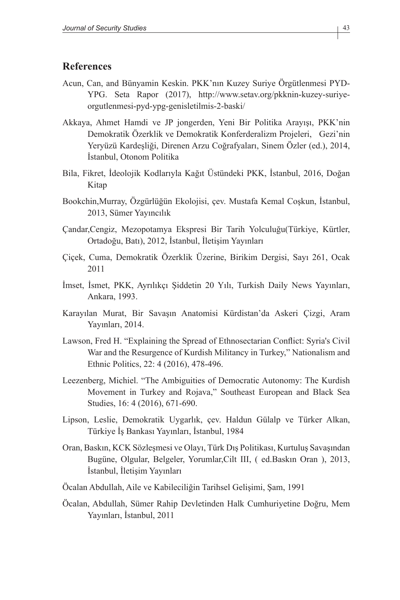#### **References**

- Acun, Can, and Bünyamin Keskin. PKK'nın Kuzey Suriye Örgütlenmesi PYD-YPG. Seta Rapor (2017), http://www.setav.org/pkknin-kuzey-suriyeorgutlenmesi-pyd-ypg-genisletilmis-2-baski/
- Akkaya, Ahmet Hamdi ve JP jongerden, Yeni Bir Politika Arayışı, PKK'nin Demokratik Özerklik ve Demokratik Konferderalizm Projeleri, Gezi'nin Yeryüzü Kardeşliği, Direnen Arzu Coğrafyaları, Sinem Özler (ed.), 2014, İstanbul, Otonom Politika
- Bila, Fikret, İdeolojik Kodlarıyla Kağıt Üstündeki PKK, İstanbul, 2016, Doğan Kitap
- Bookchin,Murray, Özgürlüğün Ekolojisi, çev. Mustafa Kemal Coşkun, İstanbul, 2013, Sümer Yayıncılık
- Çandar,Cengiz, Mezopotamya Ekspresi Bir Tarih Yolculuğu(Türkiye, Kürtler, Ortadoğu, Batı), 2012, İstanbul, İletişim Yayınları
- Çiçek, Cuma, Demokratik Özerklik Üzerine, Birikim Dergisi, Sayı 261, Ocak 2011
- İmset, İsmet, PKK, Ayrılıkçı Şiddetin 20 Yılı, Turkish Daily News Yayınları, Ankara, 1993.
- Karayılan Murat, Bir Savaşın Anatomisi Kürdistan'da Askeri Çizgi, Aram Yayınları, 2014.
- Lawson, Fred H. "Explaining the Spread of Ethnosectarian Conflict: Syria's Civil War and the Resurgence of Kurdish Militancy in Turkey," Nationalism and Ethnic Politics, 22: 4 (2016), 478-496.
- Leezenberg, Michiel. "The Ambiguities of Democratic Autonomy: The Kurdish Movement in Turkey and Rojava," Southeast European and Black Sea Studies, 16: 4 (2016), 671-690.
- Lipson, Leslie, Demokratik Uygarlık, çev. Haldun Gülalp ve Türker Alkan, Türkiye İş Bankası Yayınları, İstanbul, 1984
- Oran, Baskın, KCK Sözleşmesi ve Olayı, Türk Dış Politikası, Kurtuluş Savaşından Bugüne, Olgular, Belgeler, Yorumlar,Cilt III, ( ed.Baskın Oran ), 2013, İstanbul, İletişim Yayınları
- Öcalan Abdullah, Aile ve Kabileciliğin Tarihsel Gelişimi, Şam, 1991
- Öcalan, Abdullah, Sümer Rahip Devletinden Halk Cumhuriyetine Doğru, Mem Yayınları, İstanbul, 2011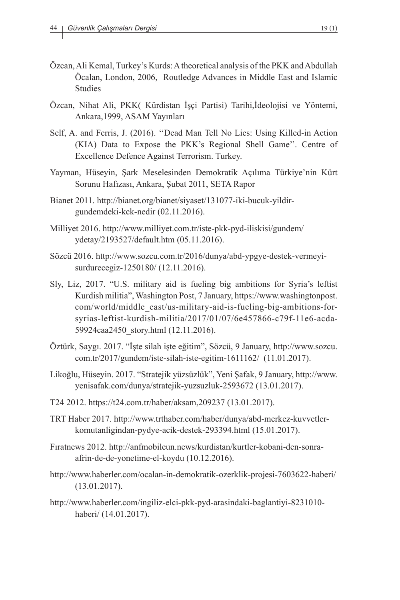- Özcan, Ali Kemal, Turkey's Kurds: A theoretical analysis of the PKK and Abdullah Öcalan, London, 2006, Routledge Advances in Middle East and Islamic Studies
- Özcan, Nihat Ali, PKK( Kürdistan İşçi Partisi) Tarihi,İdeolojisi ve Yöntemi, Ankara,1999, ASAM Yayınları
- Self, A. and Ferris, J. (2016). ''Dead Man Tell No Lies: Using Killed-in Action (KIA) Data to Expose the PKK's Regional Shell Game''. Centre of Excellence Defence Against Terrorism. Turkey.
- Yayman, Hüseyin, Şark Meselesinden Demokratik Açılıma Türkiye'nin Kürt Sorunu Hafızası, Ankara, Şubat 2011, SETA Rapor
- Bianet 2011. http://bianet.org/bianet/siyaset/131077-iki-bucuk-yildirgundemdeki-kck-nedir (02.11.2016).
- Milliyet 2016. http://www.milliyet.com.tr/iste-pkk-pyd-iliskisi/gundem/ ydetay/2193527/default.htm (05.11.2016).
- Sözcü 2016. http://www.sozcu.com.tr/2016/dunya/abd-ypgye-destek-vermeyisurdurecegiz-1250180/ (12.11.2016).
- Sly, Liz, 2017. "U.S. military aid is fueling big ambitions for Syria's leftist Kurdish militia", Washington Post, 7 January, https://www.washingtonpost. com/world/middle\_east/us-military-aid-is-fueling-big-ambitions-forsyrias-leftist-kurdish-militia/2017/01/07/6e457866-c79f-11e6-acda-59924caa2450\_story.html (12.11.2016).
- Öztürk, Saygı. 2017. "İşte silah işte eğitim", Sözcü, 9 January, http://www.sozcu. com.tr/2017/gundem/iste-silah-iste-egitim-1611162/ (11.01.2017).
- Likoğlu, Hüseyin. 2017. "Stratejik yüzsüzlük", Yeni Şafak, 9 January, http://www. yenisafak.com/dunya/stratejik-yuzsuzluk-2593672 (13.01.2017).
- T24 2012. https://t24.com.tr/haber/aksam,209237 (13.01.2017).
- TRT Haber 2017. http://www.trthaber.com/haber/dunya/abd-merkez-kuvvetlerkomutanligindan-pydye-acik-destek-293394.html (15.01.2017).
- Fıratnews 2012. http://anfmobileun.news/kurdistan/kurtler-kobani-den-sonraafrin-de-de-yonetime-el-koydu (10.12.2016).
- http://www.haberler.com/ocalan-in-demokratik-ozerklik-projesi-7603622-haberi/ (13.01.2017).
- http://www.haberler.com/ingiliz-elci-pkk-pyd-arasindaki-baglantiyi-8231010 haberi/ (14.01.2017).